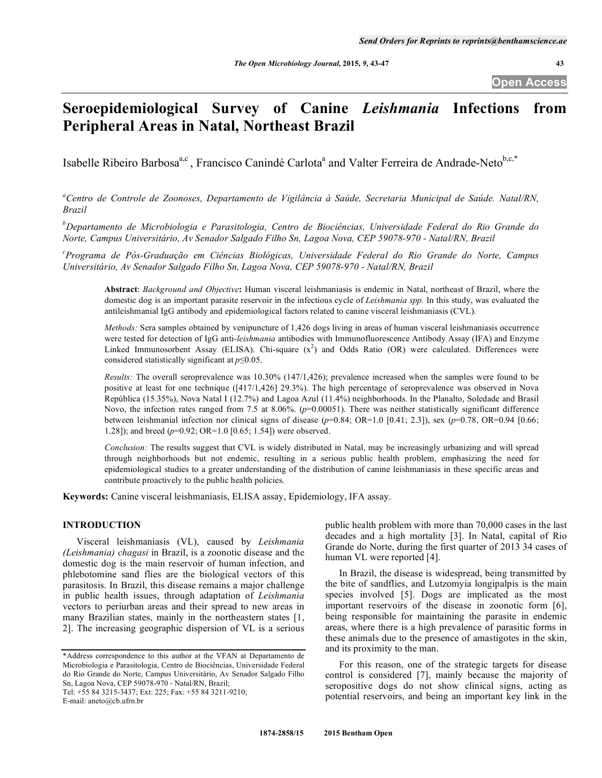# **Seroepidemiological Survey of Canine** *Leishmania* **Infections from Peripheral Areas in Natal, Northeast Brazil**

Isabelle Ribeiro Barbosa<sup>a,c</sup>, Francisco Canindé Carlota<sup>a</sup> and Valter Ferreira de Andrade-Neto<sup>b,c,\*</sup>

*a Centro de Controle de Zoonoses, Departamento de Vigilância à Saúde, Secretaria Municipal de Saúde. Natal/RN, Brazil* 

*b Departamento de Microbiologia e Parasitologia, Centro de Biociências, Universidade Federal do Rio Grande do Norte, Campus Universitário, Av Senador Salgado Filho Sn, Lagoa Nova, CEP 59078-970 - Natal/RN, Brazil* 

*c Programa de Pós-Graduação em Ciências Biológicas, Universidade Federal do Rio Grande do Norte, Campus Universitário, Av Senador Salgado Filho Sn, Lagoa Nova, CEP 59078-970 - Natal/RN, Brazil* 

**Abstract**: *Background and Objective***:** Human visceral leishmaniasis is endemic in Natal, northeast of Brazil, where the domestic dog is an important parasite reservoir in the infectious cycle of *Leishmania spp.* In this study, was evaluated the antileishmanial IgG antibody and epidemiological factors related to canine visceral leishmaniasis (CVL).

*Methods:* Sera samples obtained by venipuncture of 1,426 dogs living in areas of human visceral leishmaniasis occurrence were tested for detection of IgG anti-*leishmania* antibodies with Immunofluorescence Antibody Assay (IFA) and Enzyme Linked Immunosorbent Assay (ELISA). Chi-square  $(x^2)$  and Odds Ratio (OR) were calculated. Differences were considered statistically significant at  $p \leq 0.05$ .

*Results:* The overall seroprevalence was 10.30% (147/1,426); prevalence increased when the samples were found to be positive at least for one technique ([417/1,426] 29.3%). The high percentage of seroprevalence was observed in Nova República (15.35%), Nova Natal I (12.7%) and Lagoa Azul (11.4%) neighborhoods. In the Planalto, Soledade and Brasil Novo, the infection rates ranged from 7.5 at 8.06%. ( $p=0.00051$ ). There was neither statistically significant difference between leishmanial infection nor clinical signs of disease  $(p=0.84; OR=1.0 [0.41; 2.3])$ , sex  $(p=0.78, OR=0.94 [0.66;$ 1.28]); and breed (*p*=0.92; OR=1.0 [0.65; 1.54]) were observed.

*Conclusion:* The results suggest that CVL is widely distributed in Natal, may be increasingly urbanizing and will spread through neighborhoods but not endemic, resulting in a serious public health problem, emphasizing the need for epidemiological studies to a greater understanding of the distribution of canine leishmaniasis in these specific areas and contribute proactively to the public health policies.

**Keywords:** Canine visceral leishmaniasis, ELISA assay, Epidemiology, IFA assay.

# **INTRODUCTION**

 Visceral leishmaniasis (VL), caused by *Leishmania (Leishmania) chagasi* in Brazil, is a zoonotic disease and the domestic dog is the main reservoir of human infection, and phlebotomine sand flies are the biological vectors of this parasitosis. In Brazil, this disease remains a major challenge in public health issues, through adaptation of *Leishmania* vectors to periurban areas and their spread to new areas in many Brazilian states, mainly in the northeastern states [1, 2]. The increasing geographic dispersion of VL is a serious

E-mail: aneto@cb.ufrn.br

public health problem with more than 70,000 cases in the last decades and a high mortality [3]. In Natal, capital of Rio Grande do Norte, during the first quarter of 2013 34 cases of human VL were reported [4].

 In Brazil, the disease is widespread, being transmitted by the bite of sandflies, and Lutzomyia longipalpis is the main species involved [5]. Dogs are implicated as the most important reservoirs of the disease in zoonotic form [6], being responsible for maintaining the parasite in endemic areas, where there is a high prevalence of parasitic forms in these animals due to the presence of amastigotes in the skin, and its proximity to the man.

 For this reason, one of the strategic targets for disease control is considered [7], mainly because the majority of seropositive dogs do not show clinical signs, acting as potential reservoirs, and being an important key link in the

<sup>\*</sup>Address correspondence to this author at the VFAN at Departamento de Microbiologia e Parasitologia, Centro de Biociências, Universidade Federal do Rio Grande do Norte, Campus Universitário, Av Senador Salgado Filho Sn, Lagoa Nova, CEP 59078-970 - Natal/RN, Brazil; Tel: +55 84 3215-3437; Ext: 225; Fax: +55 84 3211-9210;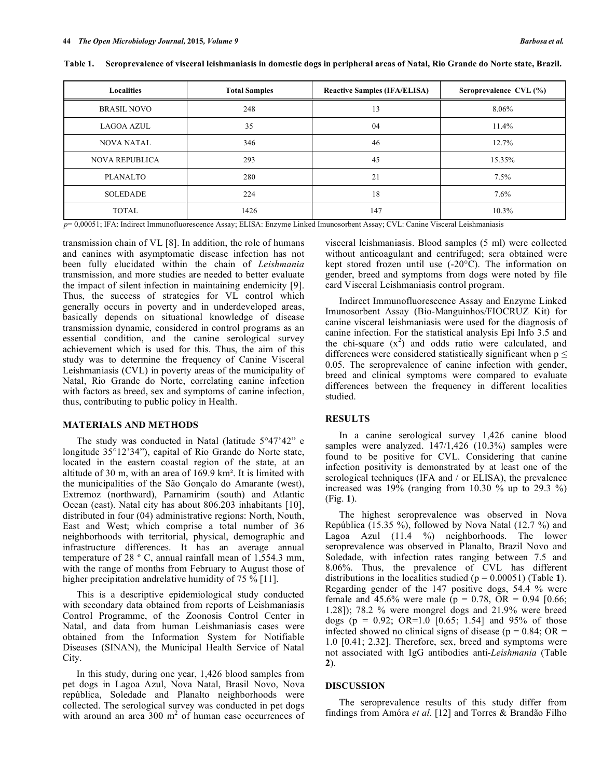| <b>Localities</b>     | <b>Total Samples</b> | <b>Reactive Samples (IFA/ELISA)</b> | Seroprevalence CVL (%) |  |
|-----------------------|----------------------|-------------------------------------|------------------------|--|
| <b>BRASIL NOVO</b>    | 248                  | 13                                  |                        |  |
| <b>LAGOA AZUL</b>     | 35                   | 04                                  | 11.4%                  |  |
| <b>NOVA NATAL</b>     | 346                  | 46                                  | 12.7%                  |  |
| <b>NOVA REPUBLICA</b> | 293                  | 45                                  | 15.35%                 |  |
| <b>PLANALTO</b>       | 280                  | 21                                  | 7.5%                   |  |
| <b>SOLEDADE</b>       | 224                  | 18                                  | $7.6\%$                |  |
| <b>TOTAL</b>          | 1426                 | 147                                 | 10.3%                  |  |

**Table 1. Seroprevalence of visceral leishmaniasis in domestic dogs in peripheral areas of Natal, Rio Grande do Norte state, Brazil.** 

*p*= 0,00051; IFA: Indirect Immunofluorescence Assay; ELISA: Enzyme Linked Imunosorbent Assay; CVL: Canine Visceral Leishmaniasis

transmission chain of VL [8]. In addition, the role of humans and canines with asymptomatic disease infection has not been fully elucidated within the chain of *Leishmania*  transmission, and more studies are needed to better evaluate the impact of silent infection in maintaining endemicity [9]. Thus, the success of strategies for VL control which generally occurs in poverty and in underdeveloped areas, basically depends on situational knowledge of disease transmission dynamic, considered in control programs as an essential condition, and the canine serological survey achievement which is used for this. Thus, the aim of this study was to determine the frequency of Canine Visceral Leishmaniasis (CVL) in poverty areas of the municipality of Natal, Rio Grande do Norte, correlating canine infection with factors as breed, sex and symptoms of canine infection, thus, contributing to public policy in Health.

### **MATERIALS AND METHODS**

 The study was conducted in Natal (latitude 5°47'42" e longitude 35°12'34"), capital of Rio Grande do Norte state, located in the eastern coastal region of the state, at an altitude of 30 m, with an area of 169.9 km<sup>2</sup>. It is limited with the municipalities of the São Gonçalo do Amarante (west), Extremoz (northward), Parnamirim (south) and Atlantic Ocean (east). Natal city has about 806.203 inhabitants [10], distributed in four (04) administrative regions: North, Nouth, East and West; which comprise a total number of 36 neighborhoods with territorial, physical, demographic and infrastructure differences. It has an average annual temperature of 28 º C, annual rainfall mean of 1,554.3 mm, with the range of months from February to August those of higher precipitation andrelative humidity of 75 % [11].

 This is a descriptive epidemiological study conducted with secondary data obtained from reports of Leishmaniasis Control Programme, of the Zoonosis Control Center in Natal, and data from human Leishmaniasis cases were obtained from the Information System for Notifiable Diseases (SINAN), the Municipal Health Service of Natal City.

 In this study, during one year, 1,426 blood samples from pet dogs in Lagoa Azul, Nova Natal, Brasil Novo, Nova república, Soledade and Planalto neighborhoods were collected. The serological survey was conducted in pet dogs with around an area  $300 \text{ m}^2$  of human case occurrences of visceral leishmaniasis. Blood samples (5 ml) were collected without anticoagulant and centrifuged; sera obtained were kept stored frozen until use (-20°C). The information on gender, breed and symptoms from dogs were noted by file card Visceral Leishmaniasis control program.

 Indirect Immunofluorescence Assay and Enzyme Linked Imunosorbent Assay (Bio-Manguinhos/FIOCRUZ Kit) for canine visceral leishmaniasis were used for the diagnosis of canine infection. For the statistical analysis Epi Info 3.5 and the chi-square  $(x^2)$  and odds ratio were calculated, and differences were considered statistically significant when  $p \leq$ 0.05. The seroprevalence of canine infection with gender, breed and clinical symptoms were compared to evaluate differences between the frequency in different localities studied.

### **RESULTS**

 In a canine serological survey 1,426 canine blood samples were analyzed. 147/1,426 (10.3%) samples were found to be positive for CVL. Considering that canine infection positivity is demonstrated by at least one of the serological techniques (IFA and / or ELISA), the prevalence increased was 19% (ranging from 10.30 % up to 29.3 %) (Fig. **1**).

 The highest seroprevalence was observed in Nova República (15.35 %), followed by Nova Natal (12.7 %) and Lagoa Azul (11.4 %) neighborhoods. The lower seroprevalence was observed in Planalto, Brazil Novo and Soledade, with infection rates ranging between 7.5 and 8.06%. Thus, the prevalence of CVL has different distributions in the localities studied  $(p = 0.00051)$  (Table 1). Regarding gender of the 147 positive dogs, 54.4 % were female and 45.6% were male ( $p = 0.78$ ,  $\overline{OR} = 0.94$  [0.66; 1.28]); 78.2 % were mongrel dogs and 21.9% were breed dogs ( $p = 0.92$ ; OR=1.0 [0.65; 1.54] and 95% of those infected showed no clinical signs of disease ( $p = 0.84$ ; OR = 1.0 [0.41; 2.32]. Therefore, sex, breed and symptoms were not associated with IgG antibodies anti-*Leishmania* (Table **2**).

# **DISCUSSION**

 The seroprevalence results of this study differ from findings from Amóra *et al*. [12] and Torres & Brandão Filho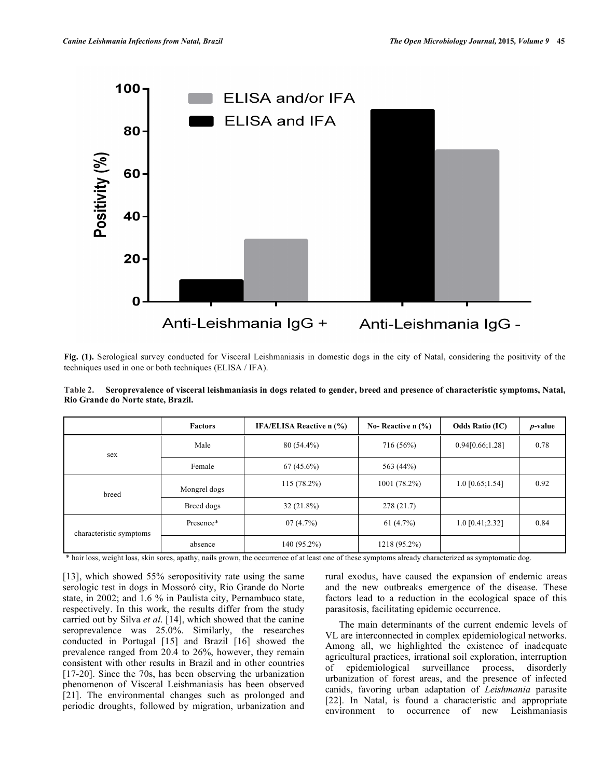

**Fig. (1).** Serological survey conducted for Visceral Leishmaniasis in domestic dogs in the city of Natal, considering the positivity of the techniques used in one or both techniques (ELISA / IFA).

**Table 2. Seroprevalence of visceral leishmaniasis in dogs related to gender, breed and presence of characteristic symptoms, Natal, Rio Grande do Norte state, Brazil.**

|                         | <b>Factors</b> | <b>IFA/ELISA Reactive n (%)</b> | No-Reactive $n$ $\frac{9}{6}$ | <b>Odds Ratio (IC)</b> | $p$ -value |
|-------------------------|----------------|---------------------------------|-------------------------------|------------------------|------------|
| sex                     | Male           | $80(54.4\%)$                    | 716 (56%)                     | 0.94[0.66;1.28]        | 0.78       |
|                         | Female         | $67(45.6\%)$                    | 563 (44%)                     |                        |            |
| breed                   | Mongrel dogs   | $115(78.2\%)$                   | 1001(78.2%)                   | $1.0$ [0.65;1.54]      | 0.92       |
|                         | Breed dogs     | $32(21.8\%)$                    | 278(21.7)                     |                        |            |
| characteristic symptoms | Presence*      | 07(4.7%)                        | 61 $(4.7\%)$                  | $1.0$ [0.41;2.32]      | 0.84       |
|                         | absence        | 140 (95.2%)                     | 1218 (95.2%)                  |                        |            |

\* hair loss, weight loss, skin sores, apathy, nails grown, the occurrence of at least one of these symptoms already characterized as symptomatic dog.

[13], which showed 55% seropositivity rate using the same serologic test in dogs in Mossoró city, Rio Grande do Norte state, in 2002; and 1.6 % in Paulista city, Pernambuco state, respectively. In this work, the results differ from the study carried out by Silva *et al*. [14], which showed that the canine seroprevalence was 25.0%. Similarly, the researches conducted in Portugal [15] and Brazil [16] showed the prevalence ranged from 20.4 to 26%, however, they remain consistent with other results in Brazil and in other countries [17-20]. Since the 70s, has been observing the urbanization phenomenon of Visceral Leishmaniasis has been observed [21]. The environmental changes such as prolonged and periodic droughts, followed by migration, urbanization and

rural exodus, have caused the expansion of endemic areas and the new outbreaks emergence of the disease. These factors lead to a reduction in the ecological space of this parasitosis, facilitating epidemic occurrence.

 The main determinants of the current endemic levels of VL are interconnected in complex epidemiological networks. Among all, we highlighted the existence of inadequate agricultural practices, irrational soil exploration, interruption of epidemiological surveillance process, disorderly urbanization of forest areas, and the presence of infected canids, favoring urban adaptation of *Leishmania* parasite [22]. In Natal, is found a characteristic and appropriate environment to occurrence of new Leishmaniasis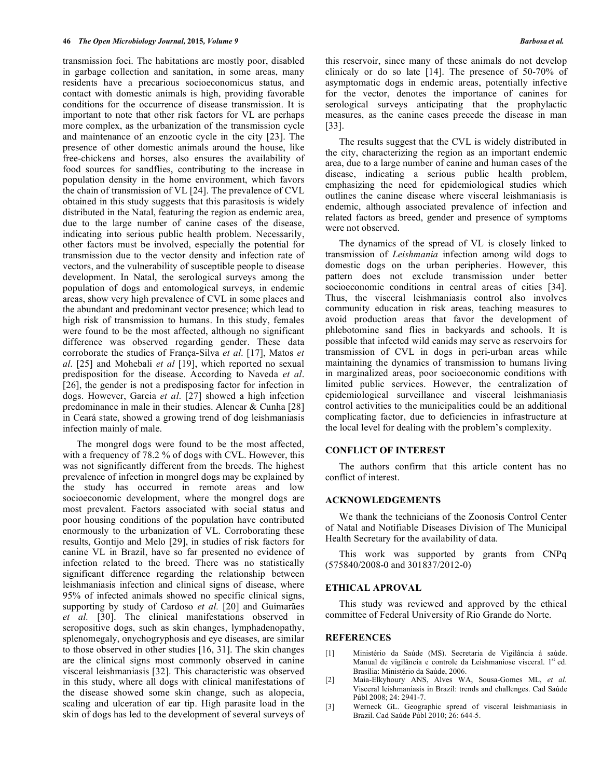transmission foci. The habitations are mostly poor, disabled in garbage collection and sanitation, in some areas, many residents have a precarious socioeconomicus status, and contact with domestic animals is high, providing favorable conditions for the occurrence of disease transmission. It is important to note that other risk factors for VL are perhaps more complex, as the urbanization of the transmission cycle and maintenance of an enzootic cycle in the city [23]. The presence of other domestic animals around the house, like free-chickens and horses, also ensures the availability of food sources for sandflies, contributing to the increase in population density in the home environment, which favors the chain of transmission of VL [24]. The prevalence of CVL obtained in this study suggests that this parasitosis is widely distributed in the Natal, featuring the region as endemic area, due to the large number of canine cases of the disease, indicating into serious public health problem. Necessarily, other factors must be involved, especially the potential for transmission due to the vector density and infection rate of vectors, and the vulnerability of susceptible people to disease development. In Natal, the serological surveys among the population of dogs and entomological surveys, in endemic areas, show very high prevalence of CVL in some places and the abundant and predominant vector presence; which lead to high risk of transmission to humans. In this study, females were found to be the most affected, although no significant difference was observed regarding gender. These data corroborate the studies of França-Silva *et al*. [17], Matos *et al*. [25] and Mohebali *et al* [19], which reported no sexual predisposition for the disease. According to Naveda *et al*. [26], the gender is not a predisposing factor for infection in dogs. However, Garcia *et al*. [27] showed a high infection predominance in male in their studies. Alencar & Cunha [28] in Ceará state, showed a growing trend of dog leishmaniasis infection mainly of male.

 The mongrel dogs were found to be the most affected, with a frequency of 78.2 % of dogs with CVL. However, this was not significantly different from the breeds. The highest prevalence of infection in mongrel dogs may be explained by the study has occurred in remote areas and low socioeconomic development, where the mongrel dogs are most prevalent. Factors associated with social status and poor housing conditions of the population have contributed enormously to the urbanization of VL. Corroborating these results, Gontijo and Melo [29], in studies of risk factors for canine VL in Brazil, have so far presented no evidence of infection related to the breed. There was no statistically significant difference regarding the relationship between leishmaniasis infection and clinical signs of disease, where 95% of infected animals showed no specific clinical signs, supporting by study of Cardoso *et al.* [20] and Guimarães *et al.* [30]. The clinical manifestations observed in seropositive dogs, such as skin changes, lymphadenopathy, splenomegaly, onychogryphosis and eye diseases, are similar to those observed in other studies [16, 31]. The skin changes are the clinical signs most commonly observed in canine visceral leishmaniasis [32]. This characteristic was observed in this study, where all dogs with clinical manifestations of the disease showed some skin change, such as alopecia, scaling and ulceration of ear tip. High parasite load in the skin of dogs has led to the development of several surveys of this reservoir, since many of these animals do not develop clinicaly or do so late [14]. The presence of 50-70% of asymptomatic dogs in endemic areas, potentially infective for the vector, denotes the importance of canines for serological surveys anticipating that the prophylactic measures, as the canine cases precede the disease in man [33].

 The results suggest that the CVL is widely distributed in the city, characterizing the region as an important endemic area, due to a large number of canine and human cases of the disease, indicating a serious public health problem, emphasizing the need for epidemiological studies which outlines the canine disease where visceral leishmaniasis is endemic, although associated prevalence of infection and related factors as breed, gender and presence of symptoms were not observed.

 The dynamics of the spread of VL is closely linked to transmission of *Leishmania* infection among wild dogs to domestic dogs on the urban peripheries. However, this pattern does not exclude transmission under better socioeconomic conditions in central areas of cities [34]. Thus, the visceral leishmaniasis control also involves community education in risk areas, teaching measures to avoid production areas that favor the development of phlebotomine sand flies in backyards and schools. It is possible that infected wild canids may serve as reservoirs for transmission of CVL in dogs in peri-urban areas while maintaining the dynamics of transmission to humans living in marginalized areas, poor socioeconomic conditions with limited public services. However, the centralization of epidemiological surveillance and visceral leishmaniasis control activities to the municipalities could be an additional complicating factor, due to deficiencies in infrastructure at the local level for dealing with the problem's complexity.

# **CONFLICT OF INTEREST**

 The authors confirm that this article content has no conflict of interest.

#### **ACKNOWLEDGEMENTS**

 We thank the technicians of the Zoonosis Control Center of Natal and Notifiable Diseases Division of The Municipal Health Secretary for the availability of data.

 This work was supported by grants from CNPq (575840/2008-0 and 301837/2012-0)

### **ETHICAL APROVAL**

 This study was reviewed and approved by the ethical committee of Federal University of Rio Grande do Norte.

# **REFERENCES**

- [1] Ministério da Saúde (MS). Secretaria de Vigilância à saúde. Manual de vigilância e controle da Leishmaniose visceral. 1<sup>st</sup> ed. Brasília: Ministério da Saúde, 2006.
- [2] Maia-Elkyhoury ANS, Alves WA, Sousa-Gomes ML, *et al*. Visceral leishmaniasis in Brazil: trends and challenges. Cad Saúde Públ 2008; 24: 2941-7.
- [3] Werneck GL. Geographic spread of visceral leishmaniasis in Brazil. Cad Saúde Públ 2010; 26: 644-5.